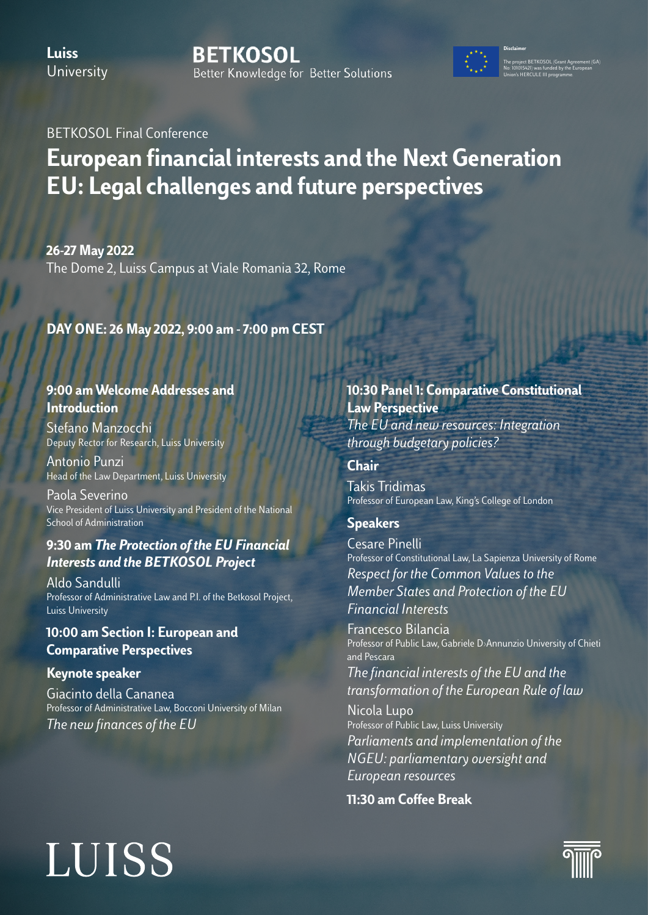**Luiss University**  **BETKOSOL** Better Knowledge for Better Solutions



The project BETKOSOL (Grant Agreement (GA) No: 101015421) was funded by the European Union's HERCULE III programme.

**Disclaimer**

BETKOSOL Final Conference

### **European financial interests and the Next Generation EU: Legal challenges and future perspectives**

**26-27 May 2022**

The Dome 2, Luiss Campus at Viale Romania 32, Rome

### **DAY ONE: 26 May 2022, 9:00 am - 7:00 pm CEST**

### **9:00 am Welcome Addresses and Introduction**

Stefano Manzocchi Deputy Rector for Research, Luiss University

Antonio Punzi Head of the Law Department, Luiss University

Paola Severino Vice President of Luiss University and President of the National School of Administration

### **9:30 am** *The Protection of the EU Financial Interests and the BETKOSOL Project*

Aldo Sandulli Professor of Administrative Law and P.I. of the Betkosol Project, Luiss University

### **10:00 am Section I: European and Comparative Perspectives**

### **Keynote speaker**

Giacinto della Cananea Professor of Administrative Law, Bocconi University of Milan *The new finances of the EU* 

### **10:30 Panel 1: Comparative Constitutional Law Perspective** *The EU and new resources: Integration through budgetary policies?*

**Chair**

Takis Tridimas Professor of European Law, King's College of London

**Speakers**

Cesare Pinelli Professor of Constitutional Law, La Sapienza University of Rome *Respect for the Common Values to the Member States and Protection of the EU Financial Interests*

Francesco Bilancia Professor of Public Law, Gabriele D›Annunzio University of Chieti and Pescara

*The financial interests of the EU and the transformation of the European Rule of law*

Nicola Lupo Professor of Public Law, Luiss University *Parliaments and implementation of the NGEU: parliamentary oversight and European resources*

**11:30 am Coffee Break**

### **LUISS**

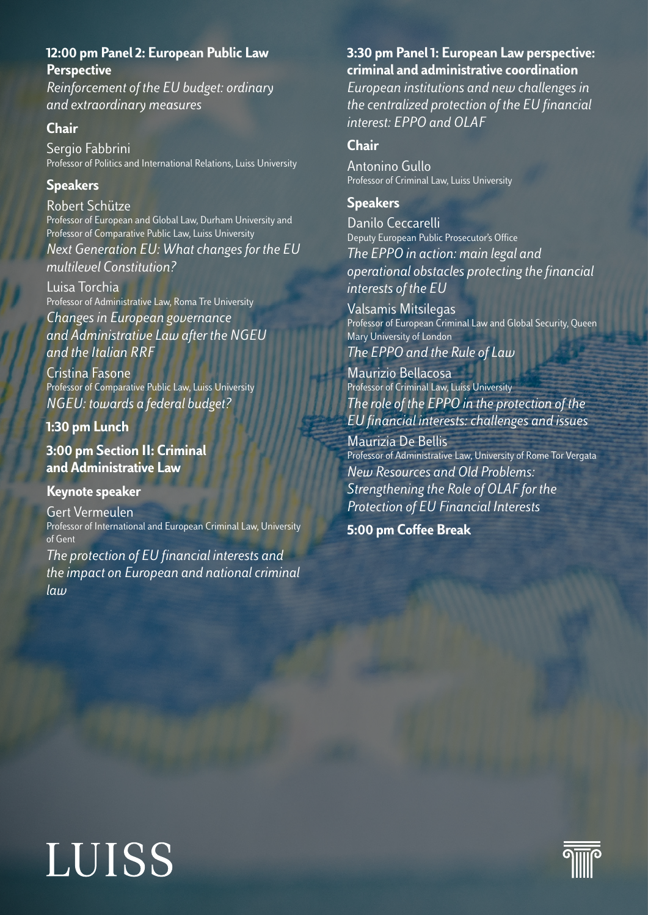### **12:00 pm Panel 2: European Public Law Perspective**

*Reinforcement of the EU budget: ordinary and extraordinary measures*

### **Chair**

Sergio Fabbrini Professor of Politics and International Relations, Luiss University

### **Speakers**

Robert Schütze Professor of European and Global Law, Durham University and Professor of Comparative Public Law, Luiss University *Next Generation EU: What changes for the EU multilevel Constitution?*

Luisa Torchia Professor of Administrative Law, Roma Tre University

*Changes in European governance and Administrative Law after the NGEU and the Italian RRF*

Cristina Fasone Professor of Comparative Public Law, Luiss University *NGEU: towards a federal budget?*

**1:30 pm Lunch** 

**3:00 pm Section II: Criminal and Administrative Law**

### **Keynote speaker**

Gert Vermeulen Professor of International and European Criminal Law, University of Gent

*The protection of EU financial interests and the impact on European and national criminal law*

### **3:30 pm Panel 1: European Law perspective: criminal and administrative coordination**

*European institutions and new challenges in the centralized protection of the EU financial interest: EPPO and OLAF*

### **Chair**

Antonino Gullo Professor of Criminal Law, Luiss University

### **Speakers**

Danilo Ceccarelli Deputy European Public Prosecutor's Office *The EPPO in action: main legal and operational obstacles protecting the financial interests of the EU*

Valsamis Mitsilegas Professor of European Criminal Law and Global Security, Queen Mary University of London *The EPPO and the Rule of Law*

Maurizio Bellacosa Professor of Criminal Law, Luiss University *The role of the EPPO in the protection of the EU financial interests: challenges and issues*

Maurizia De Bellis Professor of Administrative Law, University of Rome Tor Vergata *New Resources and Old Problems: Strengthening the Role of OLAF for the Protection of EU Financial Interests* 

**5:00 pm Coffee Break**

## **LUISS**